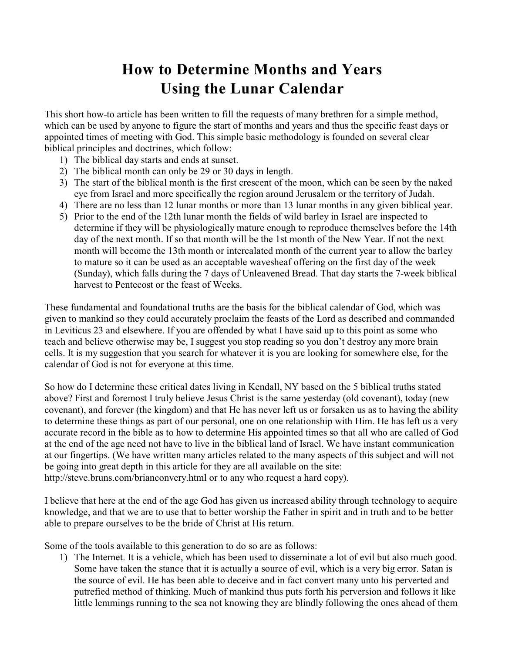## **How to Determine Months and Years Using the Lunar Calendar**

This short how-to article has been written to fill the requests of many brethren for a simple method, which can be used by anyone to figure the start of months and years and thus the specific feast days or appointed times of meeting with God. This simple basic methodology is founded on several clear biblical principles and doctrines, which follow:

- 1) The biblical day starts and ends at sunset.
- 2) The biblical month can only be 29 or 30 days in length.
- 3) The start of the biblical month is the first crescent of the moon, which can be seen by the naked eye from Israel and more specifically the region around Jerusalem or the territory of Judah.
- 4) There are no less than 12 lunar months or more than 13 lunar months in any given biblical year.
- 5) Prior to the end of the 12th lunar month the fields of wild barley in Israel are inspected to determine if they will be physiologically mature enough to reproduce themselves before the 14th day of the next month. If so that month will be the 1st month of the New Year. If not the next month will become the 13th month or intercalated month of the current year to allow the barley to mature so it can be used as an acceptable wavesheaf offering on the first day of the week (Sunday), which falls during the 7 days of Unleavened Bread. That day starts the 7-week biblical harvest to Pentecost or the feast of Weeks.

These fundamental and foundational truths are the basis for the biblical calendar of God, which was given to mankind so they could accurately proclaim the feasts of the Lord as described and commanded in Leviticus 23 and elsewhere. If you are offended by what I have said up to this point as some who teach and believe otherwise may be, I suggest you stop reading so you don't destroy any more brain cells. It is my suggestion that you search for whatever it is you are looking for somewhere else, for the calendar of God is not for everyone at this time.

So how do I determine these critical dates living in Kendall, NY based on the 5 biblical truths stated above? First and foremost I truly believe Jesus Christ is the same yesterday (old covenant), today (new covenant), and forever (the kingdom) and that He has never left us or forsaken us as to having the ability to determine these things as part of our personal, one on one relationship with Him. He has left us a very accurate record in the bible as to how to determine His appointed times so that all who are called of God at the end of the age need not have to live in the biblical land of Israel. We have instant communication at our fingertips. (We have written many articles related to the many aspects of this subject and will not be going into great depth in this article for they are all available on the site: http://steve.bruns.com/brianconvery.html or to any who request a hard copy).

I believe that here at the end of the age God has given us increased ability through technology to acquire knowledge, and that we are to use that to better worship the Father in spirit and in truth and to be better able to prepare ourselves to be the bride of Christ at His return.

Some of the tools available to this generation to do so are as follows:

1) The Internet. It is a vehicle, which has been used to disseminate a lot of evil but also much good. Some have taken the stance that it is actually a source of evil, which is a very big error. Satan is the source of evil. He has been able to deceive and in fact convert many unto his perverted and putrefied method of thinking. Much of mankind thus puts forth his perversion and follows it like little lemmings running to the sea not knowing they are blindly following the ones ahead of them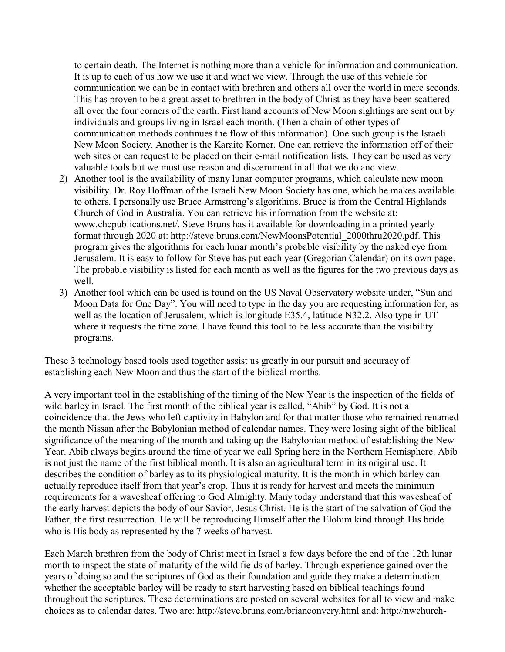to certain death. The Internet is nothing more than a vehicle for information and communication. It is up to each of us how we use it and what we view. Through the use of this vehicle for communication we can be in contact with brethren and others all over the world in mere seconds. This has proven to be a great asset to brethren in the body of Christ as they have been scattered all over the four corners of the earth. First hand accounts of New Moon sightings are sent out by individuals and groups living in Israel each month. (Then a chain of other types of communication methods continues the flow of this information). One such group is the Israeli New Moon Society. Another is the Karaite Korner. One can retrieve the information off of their web sites or can request to be placed on their e-mail notification lists. They can be used as very valuable tools but we must use reason and discernment in all that we do and view.

- 2) Another tool is the availability of many lunar computer programs, which calculate new moon visibility. Dr. Roy Hoffman of the Israeli New Moon Society has one, which he makes available to others. I personally use Bruce Armstrong's algorithms. Bruce is from the Central Highlands Church of God in Australia. You can retrieve his information from the website at: www.chcpublications.net/. Steve Bruns has it available for downloading in a printed yearly format through 2020 at: http://steve.bruns.com/NewMoonsPotential\_2000thru2020.pdf. This program gives the algorithms for each lunar month's probable visibility by the naked eye from Jerusalem. It is easy to follow for Steve has put each year (Gregorian Calendar) on its own page. The probable visibility is listed for each month as well as the figures for the two previous days as well.
- 3) Another tool which can be used is found on the US Naval Observatory website under, "Sun and Moon Data for One Day". You will need to type in the day you are requesting information for, as well as the location of Jerusalem, which is longitude E35.4, latitude N32.2. Also type in UT where it requests the time zone. I have found this tool to be less accurate than the visibility programs.

These 3 technology based tools used together assist us greatly in our pursuit and accuracy of establishing each New Moon and thus the start of the biblical months.

A very important tool in the establishing of the timing of the New Year is the inspection of the fields of wild barley in Israel. The first month of the biblical year is called, "Abib" by God. It is not a coincidence that the Jews who left captivity in Babylon and for that matter those who remained renamed the month Nissan after the Babylonian method of calendar names. They were losing sight of the biblical significance of the meaning of the month and taking up the Babylonian method of establishing the New Year. Abib always begins around the time of year we call Spring here in the Northern Hemisphere. Abib is not just the name of the first biblical month. It is also an agricultural term in its original use. It describes the condition of barley as to its physiological maturity. It is the month in which barley can actually reproduce itself from that year's crop. Thus it is ready for harvest and meets the minimum requirements for a wavesheaf offering to God Almighty. Many today understand that this wavesheaf of the early harvest depicts the body of our Savior, Jesus Christ. He is the start of the salvation of God the Father, the first resurrection. He will be reproducing Himself after the Elohim kind through His bride who is His body as represented by the 7 weeks of harvest.

Each March brethren from the body of Christ meet in Israel a few days before the end of the 12th lunar month to inspect the state of maturity of the wild fields of barley. Through experience gained over the years of doing so and the scriptures of God as their foundation and guide they make a determination whether the acceptable barley will be ready to start harvesting based on biblical teachings found throughout the scriptures. These determinations are posted on several websites for all to view and make choices as to calendar dates. Two are: http://steve.bruns.com/brianconvery.html and: http://nwchurch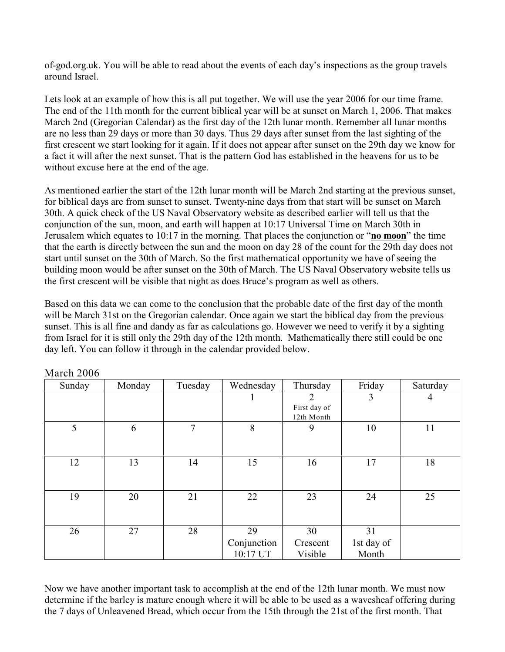of-god.org.uk. You will be able to read about the events of each day's inspections as the group travels around Israel.

Lets look at an example of how this is all put together. We will use the year 2006 for our time frame. The end of the 11th month for the current biblical year will be at sunset on March 1, 2006. That makes March 2nd (Gregorian Calendar) as the first day of the 12th lunar month. Remember all lunar months are no less than 29 days or more than 30 days. Thus 29 days after sunset from the last sighting of the first crescent we start looking for it again. If it does not appear after sunset on the 29th day we know for a fact it will after the next sunset. That is the pattern God has established in the heavens for us to be without excuse here at the end of the age.

As mentioned earlier the start of the 12th lunar month will be March 2nd starting at the previous sunset, for biblical days are from sunset to sunset. Twenty-nine days from that start will be sunset on March 30th. A quick check of the US Naval Observatory website as described earlier will tell us that the conjunction of the sun, moon, and earth will happen at 10:17 Universal Time on March 30th in Jerusalem which equates to 10:17 in the morning. That places the conjunction or "**no moon**" the time that the earth is directly between the sun and the moon on day 28 of the count for the 29th day does not start until sunset on the 30th of March. So the first mathematical opportunity we have of seeing the building moon would be after sunset on the 30th of March. The US Naval Observatory website tells us the first crescent will be visible that night as does Bruce's program as well as others.

Based on this data we can come to the conclusion that the probable date of the first day of the month will be March 31st on the Gregorian calendar. Once again we start the biblical day from the previous sunset. This is all fine and dandy as far as calculations go. However we need to verify it by a sighting from Israel for it is still only the 29th day of the 12th month. Mathematically there still could be one day left. You can follow it through in the calendar provided below.

| Sunday | Monday | Tuesday        | Wednesday                     | Thursday                        | Friday                    | Saturday |
|--------|--------|----------------|-------------------------------|---------------------------------|---------------------------|----------|
|        |        |                |                               | 2<br>First day of<br>12th Month | 3                         | 4        |
| 5      | 6      | $\overline{7}$ | 8                             | 9                               | 10                        | 11       |
| 12     | 13     | 14             | 15                            | 16                              | 17                        | 18       |
| 19     | 20     | 21             | 22                            | 23                              | 24                        | 25       |
| 26     | 27     | 28             | 29<br>Conjunction<br>10:17 UT | 30<br>Crescent<br>Visible       | 31<br>1st day of<br>Month |          |

March 2006

Now we have another important task to accomplish at the end of the 12th lunar month. We must now determine if the barley is mature enough where it will be able to be used as a wavesheaf offering during the 7 days of Unleavened Bread, which occur from the 15th through the 21st of the first month. That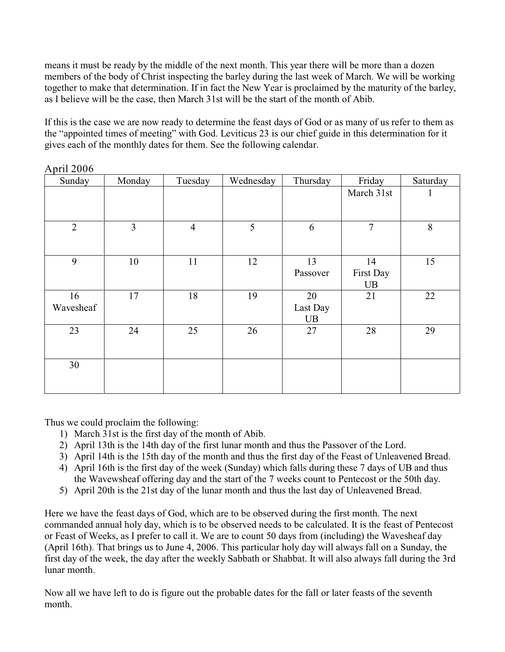means it must be ready by the middle of the next month. This year there will be more than a dozen members of the body of Christ inspecting the barley during the last week of March. We will be working together to make that determination. If in fact the New Year is proclaimed by the maturity of the barley, as I believe will be the case, then March 31st will be the start of the month of Abib.

If this is the case we are now ready to determine the feast days of God or as many of us refer to them as the "appointed times of meeting" with God. Leviticus 23 is our chief guide in this determination for it gives each of the monthly dates for them. See the following calendar.

| Sunday         | Monday         | Tuesday        | Wednesday | Thursday | Friday         | Saturday     |
|----------------|----------------|----------------|-----------|----------|----------------|--------------|
|                |                |                |           |          | March 31st     | $\mathbf{I}$ |
|                |                |                |           |          |                |              |
| $\overline{2}$ | $\overline{3}$ | $\overline{4}$ | 5         | 6        | $\overline{7}$ | $8\,$        |
|                |                |                |           |          |                |              |
| 9              | 10             | 11             | 12        | 13       | 14             | 15           |
|                |                |                |           | Passover | First Day      |              |
|                |                |                |           |          | UB             |              |
| 16             | 17             | 18             | 19        | 20       | 21             | 22           |
| Wavesheaf      |                |                |           | Last Day |                |              |
|                |                |                |           | UB       |                |              |
| 23             | 24             | 25             | 26        | 27       | 28             | 29           |
|                |                |                |           |          |                |              |
| 30             |                |                |           |          |                |              |
|                |                |                |           |          |                |              |
|                |                |                |           |          |                |              |

April 2006

Thus we could proclaim the following:

- 1) March 31st is the first day of the month of Abib.
- 2) April 13th is the 14th day of the first lunar month and thus the Passover of the Lord.
- 3) April 14th is the 15th day of the month and thus the first day of the Feast of Unleavened Bread.
- 4) April 16th is the first day of the week (Sunday) which falls during these 7 days of UB and thus the Wavewsheaf offering day and the start of the 7 weeks count to Pentecost or the 50th day.
- 5) April 20th is the 21st day of the lunar month and thus the last day of Unleavened Bread.

Here we have the feast days of God, which are to be observed during the first month. The next commanded annual holy day, which is to be observed needs to be calculated. It is the feast of Pentecost or Feast of Weeks, as I prefer to call it. We are to count 50 days from (including) the Wavesheaf day (April 16th). That brings us to June 4, 2006. This particular holy day will always fall on a Sunday, the first day of the week, the day after the weekly Sabbath or Shabbat. It will also always fall during the 3rd lunar month.

Now all we have left to do is figure out the probable dates for the fall or later feasts of the seventh month.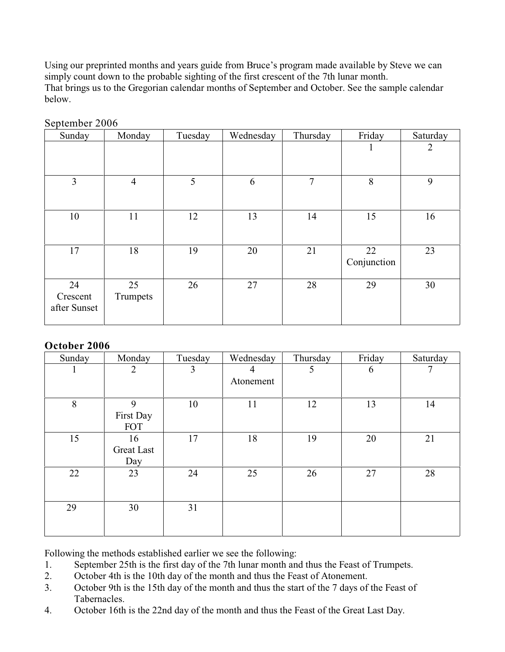Using our preprinted months and years guide from Bruce's program made available by Steve we can simply count down to the probable sighting of the first crescent of the 7th lunar month. That brings us to the Gregorian calendar months of September and October. See the sample calendar below.

| Sunday                         | Monday         | Tuesday | Wednesday | Thursday | Friday            | Saturday       |
|--------------------------------|----------------|---------|-----------|----------|-------------------|----------------|
|                                |                |         |           |          | 1                 | $\overline{2}$ |
| 3                              | $\overline{4}$ | 5       | 6         | 7        | 8                 | 9              |
| 10                             | 11             | 12      | 13        | 14       | 15                | 16             |
| 17                             | 18             | 19      | 20        | 21       | 22<br>Conjunction | 23             |
| 24<br>Crescent<br>after Sunset | 25<br>Trumpets | 26      | 27        | 28       | 29                | 30             |

September 2006

## **October 2006**

| Sunday | Monday            | Tuesday        | Wednesday | Thursday | Friday | Saturday |
|--------|-------------------|----------------|-----------|----------|--------|----------|
|        | $\overline{2}$    | $\overline{3}$ | 4         | 5        | 6      | 7        |
|        |                   |                | Atonement |          |        |          |
|        |                   |                |           |          |        |          |
| 8      | 9                 | 10             | 11        | 12       | 13     | 14       |
|        | First Day         |                |           |          |        |          |
|        | <b>FOT</b>        |                |           |          |        |          |
| 15     | 16                | 17             | 18        | 19       | 20     | 21       |
|        | <b>Great Last</b> |                |           |          |        |          |
|        | Day               |                |           |          |        |          |
| 22     | 23                | 24             | 25        | 26       | 27     | 28       |
|        |                   |                |           |          |        |          |
|        |                   |                |           |          |        |          |
| 29     | 30                | 31             |           |          |        |          |
|        |                   |                |           |          |        |          |
|        |                   |                |           |          |        |          |

Following the methods established earlier we see the following:

- 1. September 25th is the first day of the 7th lunar month and thus the Feast of Trumpets.
- 2. October 4th is the 10th day of the month and thus the Feast of Atonement.
- 3. October 9th is the 15th day of the month and thus the start of the 7 days of the Feast of Tabernacles.
- 4. October 16th is the 22nd day of the month and thus the Feast of the Great Last Day.